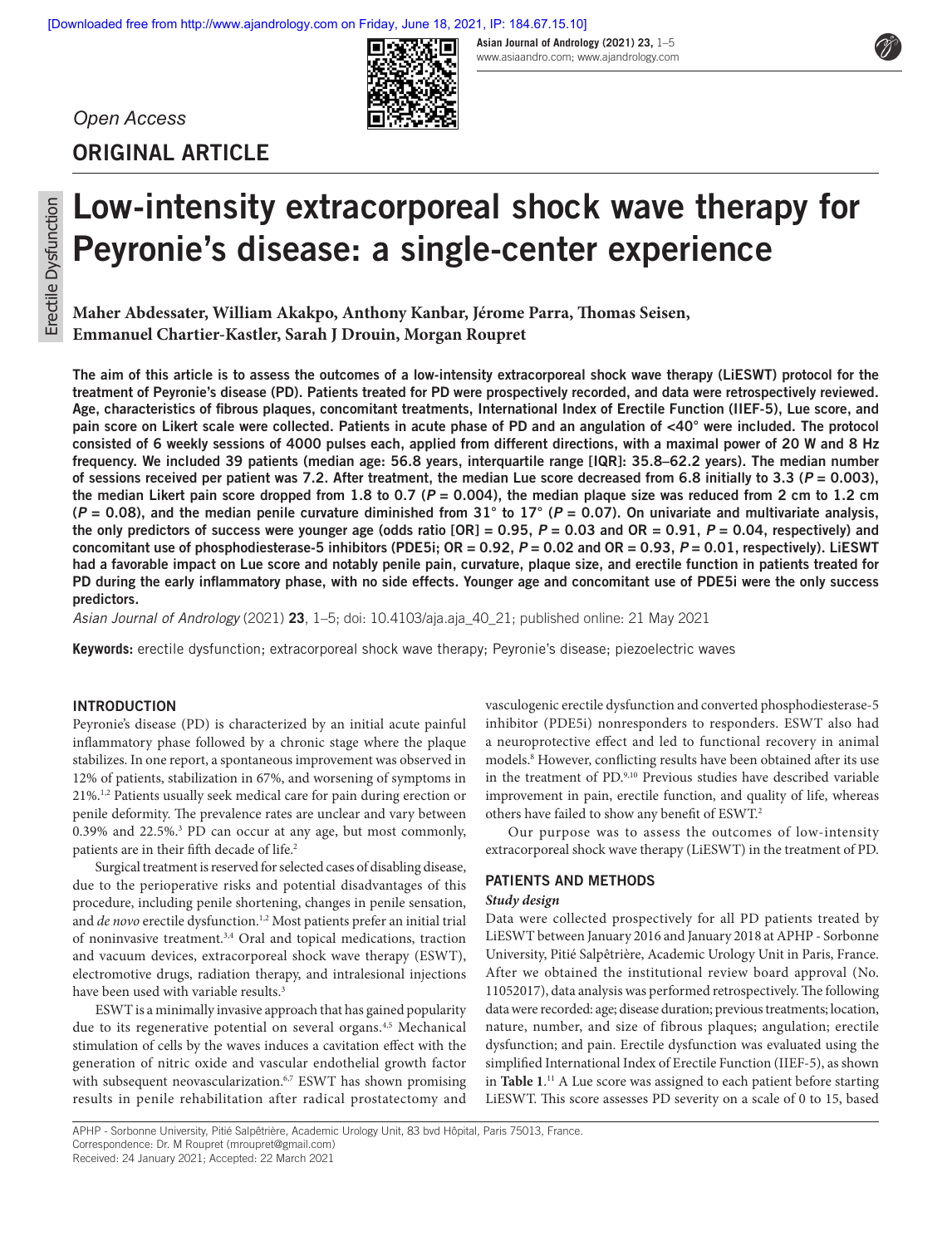**Asian Journal of Andrology (2021) 23,** 1–5

*Open Access*



www.asiaandro.com; www.ajandrology.com

# **ORIGINAL ARTICLE**

# **Low-intensity extracorporeal shock wave therapy for Peyronie's disease: a single-center experience**

**Maher Abdessater, William Akakpo, Anthony Kanbar, Jérome Parra, Thomas Seisen, Emmanuel Chartier-Kastler, Sarah J Drouin, Morgan Roupret**

**The aim of this article is to assess the outcomes of a low-intensity extracorporeal shock wave therapy (LiESWT) protocol for the treatment of Peyronie's disease (PD). Patients treated for PD were prospectively recorded, and data were retrospectively reviewed. Age, characteristics of fibrous plaques, concomitant treatments, International Index of Erectile Function (IIEF-5), Lue score, and pain score on Likert scale were collected. Patients in acute phase of PD and an angulation of <40° were included. The protocol consisted of 6 weekly sessions of 4000 pulses each, applied from different directions, with a maximal power of 20 W and 8 Hz frequency. We included 39 patients (median age: 56.8 years, interquartile range [IQR]: 35.8–62.2 years). The median number**  of sessions received per patient was 7.2. After treatment, the median Lue score decreased from 6.8 initially to 3.3 ( $P = 0.003$ ). **the median Likert pain score dropped from 1.8 to 0.7 (P = 0.004), the median plaque size was reduced from 2 cm to 1.2 cm (P = 0.08), and the median penile curvature diminished from 31° to 17° (P = 0.07). On univariate and multivariate analysis, the only predictors of success were younger age (odds ratio**  $[OR] = 0.95$ **,**  $P = 0.03$  **and**  $OR = 0.91$ **,**  $P = 0.04$ **, respectively) and concomitant use of phosphodiesterase-5 inhibitors (PDE5i; OR = 0.92, P = 0.02 and OR = 0.93, P = 0.01, respectively). LiESWT had a favorable impact on Lue score and notably penile pain, curvature, plaque size, and erectile function in patients treated for PD during the early inflammatory phase, with no side effects. Younger age and concomitant use of PDE5i were the only success predictors.**

*Asian Journal of Andrology* (2021) **23**, 1–5; doi: 10.4103/aja.aja\_40\_21; published online: 21 May 2021

**Keywords:** erectile dysfunction; extracorporeal shock wave therapy; Peyronie's disease; piezoelectric waves

## **INTRODUCTION**

Peyronie's disease (PD) is characterized by an initial acute painful inflammatory phase followed by a chronic stage where the plaque stabilizes. In one report, a spontaneous improvement was observed in 12% of patients, stabilization in 67%, and worsening of symptoms in 21%.1,2 Patients usually seek medical care for pain during erection or penile deformity. The prevalence rates are unclear and vary between 0.39% and 22.5%.3 PD can occur at any age, but most commonly, patients are in their fifth decade of life.<sup>2</sup>

Surgical treatment is reserved for selected cases of disabling disease, due to the perioperative risks and potential disadvantages of this procedure, including penile shortening, changes in penile sensation, and *de novo* erectile dysfunction.<sup>1,2</sup> Most patients prefer an initial trial of noninvasive treatment.3,4 Oral and topical medications, traction and vacuum devices, extracorporeal shock wave therapy (ESWT), electromotive drugs, radiation therapy, and intralesional injections have been used with variable results.<sup>3</sup>

ESWT is a minimally invasive approach that has gained popularity due to its regenerative potential on several organs.<sup>4,5</sup> Mechanical stimulation of cells by the waves induces a cavitation effect with the generation of nitric oxide and vascular endothelial growth factor with subsequent neovascularization.<sup>6,7</sup> ESWT has shown promising results in penile rehabilitation after radical prostatectomy and

vasculogenic erectile dysfunction and converted phosphodiesterase-5 inhibitor (PDE5i) nonresponders to responders. ESWT also had a neuroprotective effect and led to functional recovery in animal models.8 However, conflicting results have been obtained after its use in the treatment of PD.9,10 Previous studies have described variable improvement in pain, erectile function, and quality of life, whereas others have failed to show any benefit of ESWT.2

Our purpose was to assess the outcomes of low-intensity extracorporeal shock wave therapy (LiESWT) in the treatment of PD.

# **PATIENTS AND METHODS**

#### *Study design*

Data were collected prospectively for all PD patients treated by LiESWT between January 2016 and January 2018 at APHP - Sorbonne University, Pitié Salpêtrière, Academic Urology Unit in Paris, France. After we obtained the institutional review board approval (No. 11052017), data analysis was performed retrospectively. The following data were recorded: age; disease duration; previous treatments; location, nature, number, and size of fibrous plaques; angulation; erectile dysfunction; and pain. Erectile dysfunction was evaluated using the simplified International Index of Erectile Function (IIEF-5), as shown in **Table 1**. 11 A Lue score was assigned to each patient before starting LiESWT. This score assesses PD severity on a scale of 0 to 15, based

APHP - Sorbonne University, Pitié Salpêtrière, Academic Urology Unit, 83 bvd Hôpital, Paris 75013, France. Correspondence: Dr. M Roupret (mroupret@gmail.com)

Received: 24 January 2021; Accepted: 22 March 2021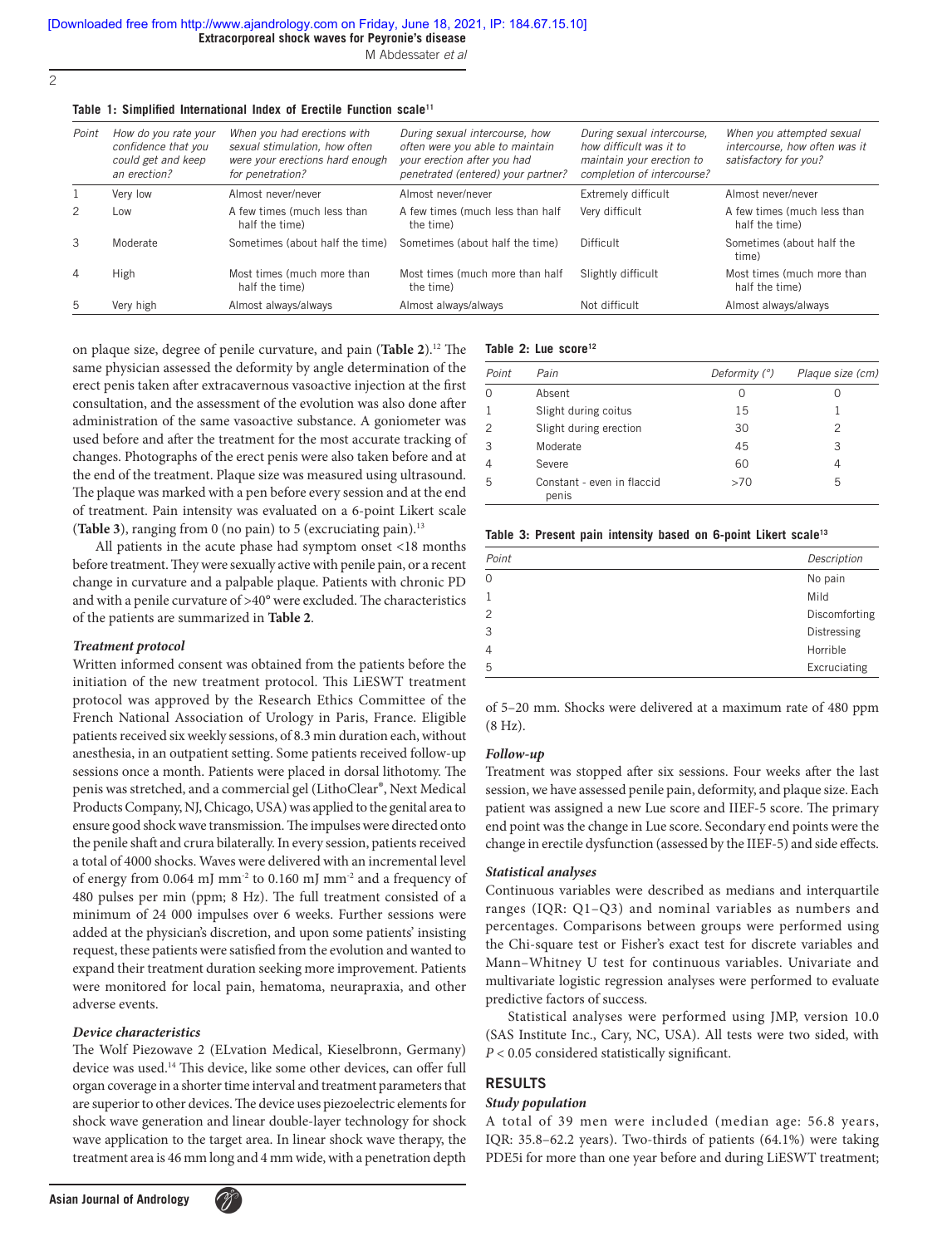M Abdessater *et al*

2

#### Table 1: Simplified International Index of Erectile Function scale<sup>11</sup>

| Point          | How do you rate your<br>confidence that you<br>could get and keep<br>an erection? | When you had erections with<br>sexual stimulation, how often<br>were your erections hard enough<br>for penetration? | During sexual intercourse, how<br>often were you able to maintain<br>your erection after you had<br>penetrated (entered) your partner? | During sexual intercourse,<br>how difficult was it to<br>maintain your erection to<br>completion of intercourse? | When you attempted sexual<br>intercourse, how often was it<br>satisfactory for you? |
|----------------|-----------------------------------------------------------------------------------|---------------------------------------------------------------------------------------------------------------------|----------------------------------------------------------------------------------------------------------------------------------------|------------------------------------------------------------------------------------------------------------------|-------------------------------------------------------------------------------------|
|                | Very low                                                                          | Almost never/never                                                                                                  | Almost never/never                                                                                                                     | <b>Extremely difficult</b>                                                                                       | Almost never/never                                                                  |
| 2              | Low                                                                               | A few times (much less than<br>half the time)                                                                       | A few times (much less than half<br>the time)                                                                                          | Very difficult                                                                                                   | A few times (much less than<br>half the time)                                       |
| 3              | Moderate                                                                          | Sometimes (about half the time)                                                                                     | Sometimes (about half the time)                                                                                                        | <b>Difficult</b>                                                                                                 | Sometimes (about half the<br>time)                                                  |
| $\overline{4}$ | High                                                                              | Most times (much more than<br>half the time)                                                                        | Most times (much more than half<br>the time)                                                                                           | Slightly difficult                                                                                               | Most times (much more than<br>half the time)                                        |
| 5              | Very high                                                                         | Almost always/always                                                                                                | Almost always/always                                                                                                                   | Not difficult                                                                                                    | Almost always/always                                                                |

on plaque size, degree of penile curvature, and pain (**Table 2**).12 The same physician assessed the deformity by angle determination of the erect penis taken after extracavernous vasoactive injection at the first consultation, and the assessment of the evolution was also done after administration of the same vasoactive substance. A goniometer was used before and after the treatment for the most accurate tracking of changes. Photographs of the erect penis were also taken before and at the end of the treatment. Plaque size was measured using ultrasound. The plaque was marked with a pen before every session and at the end of treatment. Pain intensity was evaluated on a 6-point Likert scale (**Table 3**), ranging from 0 (no pain) to 5 (excruciating pain).13

All patients in the acute phase had symptom onset <18 months before treatment. They were sexually active with penile pain, or a recent change in curvature and a palpable plaque. Patients with chronic PD and with a penile curvature of >40° were excluded. The characteristics of the patients are summarized in **Table 2**.

#### *Treatment protocol*

Written informed consent was obtained from the patients before the initiation of the new treatment protocol. This LiESWT treatment protocol was approved by the Research Ethics Committee of the French National Association of Urology in Paris, France. Eligible patients received six weekly sessions, of 8.3 min duration each, without anesthesia, in an outpatient setting. Some patients received follow-up sessions once a month. Patients were placed in dorsal lithotomy. The penis was stretched, and a commercial gel (LithoClear®, Next Medical Products Company, NJ, Chicago, USA) was applied to the genital area to ensure good shock wave transmission. The impulses were directed onto the penile shaft and crura bilaterally. In every session, patients received a total of 4000 shocks. Waves were delivered with an incremental level of energy from 0.064 mJ mm-2 to 0.160 mJ mm-2 and a frequency of 480 pulses per min (ppm; 8 Hz). The full treatment consisted of a minimum of 24 000 impulses over 6 weeks. Further sessions were added at the physician's discretion, and upon some patients' insisting request, these patients were satisfied from the evolution and wanted to expand their treatment duration seeking more improvement. Patients were monitored for local pain, hematoma, neurapraxia, and other adverse events.

# *Device characteristics*

The Wolf Piezowave 2 (ELvation Medical, Kieselbronn, Germany) device was used.<sup>14</sup> This device, like some other devices, can offer full organ coverage in a shorter time interval and treatment parameters that are superior to other devices. The device uses piezoelectric elements for shock wave generation and linear double-layer technology for shock wave application to the target area. In linear shock wave therapy, the treatment area is 46 mm long and 4 mm wide, with a penetration depth

#### Table 2: Lue score<sup>12</sup>

| Point | Pain                                | Deformity $(°)$ | Plaque size (cm) |
|-------|-------------------------------------|-----------------|------------------|
| 0     | Absent                              | $\cup$          |                  |
| 1     | Slight during coitus                | 15              |                  |
| 2     | Slight during erection              | 30              | 2                |
| 3     | Moderate                            | 45              | 3                |
| 4     | Severe                              | 60              | 4                |
| 5     | Constant - even in flaccid<br>penis | >70             | 5                |

|  |  |  | Table 3: Present pain intensity based on 6-point Likert scale <sup>13</sup> |  |  |  |  |  |
|--|--|--|-----------------------------------------------------------------------------|--|--|--|--|--|
|--|--|--|-----------------------------------------------------------------------------|--|--|--|--|--|

| Point         | Description   |
|---------------|---------------|
| $\Omega$      | No pain       |
|               | Mild          |
| $\mathcal{P}$ | Discomforting |
| 3             | Distressing   |
| 4             | Horrible      |
| 5             | Excruciating  |

of 5–20 mm. Shocks were delivered at a maximum rate of 480 ppm (8 Hz).

#### *Follow-up*

Treatment was stopped after six sessions. Four weeks after the last session, we have assessed penile pain, deformity, and plaque size. Each patient was assigned a new Lue score and IIEF-5 score. The primary end point was the change in Lue score. Secondary end points were the change in erectile dysfunction (assessed by the IIEF-5) and side effects.

#### *Statistical analyses*

Continuous variables were described as medians and interquartile ranges (IQR: Q1–Q3) and nominal variables as numbers and percentages. Comparisons between groups were performed using the Chi-square test or Fisher's exact test for discrete variables and Mann–Whitney U test for continuous variables. Univariate and multivariate logistic regression analyses were performed to evaluate predictive factors of success.

Statistical analyses were performed using JMP, version 10.0 (SAS Institute Inc., Cary, NC, USA). All tests were two sided, with *P* < 0.05 considered statistically significant.

#### **RESULTS**

#### *Study population*

A total of 39 men were included (median age: 56.8 years, IQR: 35.8–62.2 years). Two-thirds of patients (64.1%) were taking PDE5i for more than one year before and during LiESWT treatment;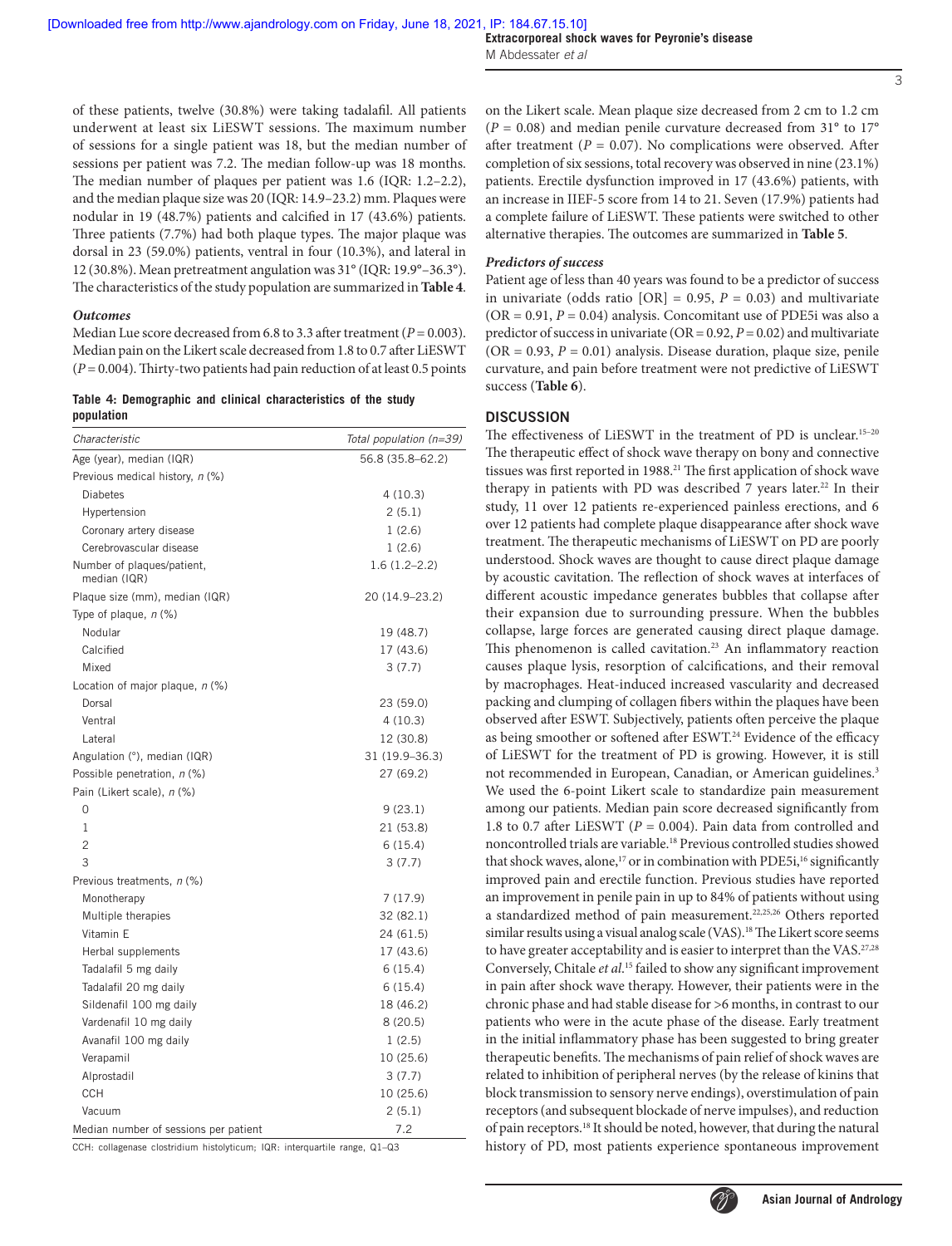**Extracorporeal shock waves for Peyronie's disease** M Abdessater *et al*

of these patients, twelve (30.8%) were taking tadalafil. All patients underwent at least six LiESWT sessions. The maximum number of sessions for a single patient was 18, but the median number of sessions per patient was 7.2. The median follow-up was 18 months. The median number of plaques per patient was 1.6 (IQR: 1.2–2.2), and the median plaque size was 20 (IQR: 14.9–23.2) mm. Plaques were nodular in 19 (48.7%) patients and calcified in 17 (43.6%) patients. Three patients (7.7%) had both plaque types. The major plaque was dorsal in 23 (59.0%) patients, ventral in four (10.3%), and lateral in 12 (30.8%). Mean pretreatment angulation was 31° (IQR: 19.9°–36.3°). The characteristics of the study population are summarized in **Table 4**.

#### *Outcomes*

Median Lue score decreased from 6.8 to 3.3 after treatment ( $P = 0.003$ ). Median pain on the Likert scale decreased from 1.8 to 0.7 after LiESWT  $(P = 0.004)$ . Thirty-two patients had pain reduction of at least 0.5 points

**Table 4: Demographic and clinical characteristics of the study population**

| Characteristic                             | Total population (n=39) |
|--------------------------------------------|-------------------------|
| Age (year), median (IQR)                   | 56.8 (35.8-62.2)        |
| Previous medical history, n (%)            |                         |
| <b>Diabetes</b>                            | 4 (10.3)                |
| Hypertension                               | 2(5.1)                  |
| Coronary artery disease                    | 1(2.6)                  |
| Cerebrovascular disease                    | 1(2.6)                  |
| Number of plaques/patient,<br>median (IQR) | $1.6(1.2 - 2.2)$        |
| Plaque size (mm), median (IQR)             | 20 (14.9-23.2)          |
| Type of plaque, $n$ (%)                    |                         |
| Nodular                                    | 19 (48.7)               |
| Calcified                                  | 17 (43.6)               |
| Mixed                                      | 3 (7.7)                 |
| Location of major plaque, $n$ (%)          |                         |
| Dorsal                                     | 23 (59.0)               |
| Ventral                                    | 4(10.3)                 |
| Lateral                                    | 12 (30.8)               |
| Angulation (°), median (IQR)               | 31 (19.9–36.3)          |
| Possible penetration, n (%)                | 27 (69.2)               |
| Pain (Likert scale), n (%)                 |                         |
| 0                                          | 9(23.1)                 |
| 1                                          | 21 (53.8)               |
| $\overline{c}$                             | 6 (15.4)                |
| 3                                          | 3(7.7)                  |
| Previous treatments, n (%)                 |                         |
| Monotherapy                                | 7 (17.9)                |
| Multiple therapies                         | 32 (82.1)               |
| Vitamin E                                  | 24 (61.5)               |
| Herbal supplements                         | 17 (43.6)               |
| Tadalafil 5 mg daily                       | 6 (15.4)                |
| Tadalafil 20 mg daily                      | 6 (15.4)                |
| Sildenafil 100 mg daily                    | 18 (46.2)               |
| Vardenafil 10 mg daily                     | 8(20.5)                 |
| Avanafil 100 mg daily                      | 1(2.5)                  |
| Verapamil                                  | 10(25.6)                |
| Alprostadil                                | 3 (7.7)                 |
| CCH                                        | 10 (25.6)               |
| Vacuum                                     | 2(5.1)                  |
| Median number of sessions per patient      | 7.2                     |

CCH: collagenase clostridium histolyticum; IQR: interquartile range, Q1–Q3

on the Likert scale. Mean plaque size decreased from 2 cm to 1.2 cm  $(P = 0.08)$  and median penile curvature decreased from 31 $\degree$  to 17 $\degree$ after treatment ( $P = 0.07$ ). No complications were observed. After completion of six sessions, total recovery was observed in nine (23.1%) patients. Erectile dysfunction improved in 17 (43.6%) patients, with an increase in IIEF-5 score from 14 to 21. Seven (17.9%) patients had a complete failure of LiESWT. These patients were switched to other alternative therapies. The outcomes are summarized in **Table 5**.

#### *Predictors of success*

Patient age of less than 40 years was found to be a predictor of success in univariate (odds ratio  $[OR] = 0.95$ ,  $P = 0.03$ ) and multivariate  $(OR = 0.91, P = 0.04)$  analysis. Concomitant use of PDE5i was also a predictor of success in univariate (OR = 0.92, *P* = 0.02) and multivariate  $(OR = 0.93, P = 0.01)$  analysis. Disease duration, plaque size, penile curvature, and pain before treatment were not predictive of LiESWT success (**Table 6**).

## **DISCUSSION**

The effectiveness of LiESWT in the treatment of PD is unclear.<sup>15-20</sup> The therapeutic effect of shock wave therapy on bony and connective tissues was first reported in 1988.<sup>21</sup> The first application of shock wave therapy in patients with PD was described 7 years later.<sup>22</sup> In their study, 11 over 12 patients re-experienced painless erections, and 6 over 12 patients had complete plaque disappearance after shock wave treatment. The therapeutic mechanisms of LiESWT on PD are poorly understood. Shock waves are thought to cause direct plaque damage by acoustic cavitation. The reflection of shock waves at interfaces of different acoustic impedance generates bubbles that collapse after their expansion due to surrounding pressure. When the bubbles collapse, large forces are generated causing direct plaque damage. This phenomenon is called cavitation.<sup>23</sup> An inflammatory reaction causes plaque lysis, resorption of calcifications, and their removal by macrophages. Heat-induced increased vascularity and decreased packing and clumping of collagen fibers within the plaques have been observed after ESWT. Subjectively, patients often perceive the plaque as being smoother or softened after ESWT.<sup>24</sup> Evidence of the efficacy of LiESWT for the treatment of PD is growing. However, it is still not recommended in European, Canadian, or American guidelines.<sup>3</sup> We used the 6-point Likert scale to standardize pain measurement among our patients. Median pain score decreased significantly from 1.8 to 0.7 after LiESWT ( $P = 0.004$ ). Pain data from controlled and noncontrolled trials are variable.18 Previous controlled studies showed that shock waves, alone,<sup>17</sup> or in combination with PDE5i,<sup>16</sup> significantly improved pain and erectile function. Previous studies have reported an improvement in penile pain in up to 84% of patients without using a standardized method of pain measurement.22,25,26 Others reported similar results using a visual analog scale (VAS).<sup>18</sup> The Likert score seems to have greater acceptability and is easier to interpret than the VAS.<sup>27,28</sup> Conversely, Chitale *et al*. 15 failed to show any significant improvement in pain after shock wave therapy. However, their patients were in the chronic phase and had stable disease for >6 months, in contrast to our patients who were in the acute phase of the disease. Early treatment in the initial inflammatory phase has been suggested to bring greater therapeutic benefits. The mechanisms of pain relief of shock waves are related to inhibition of peripheral nerves (by the release of kinins that block transmission to sensory nerve endings), overstimulation of pain receptors (and subsequent blockade of nerve impulses), and reduction of pain receptors.18 It should be noted, however, that during the natural history of PD, most patients experience spontaneous improvement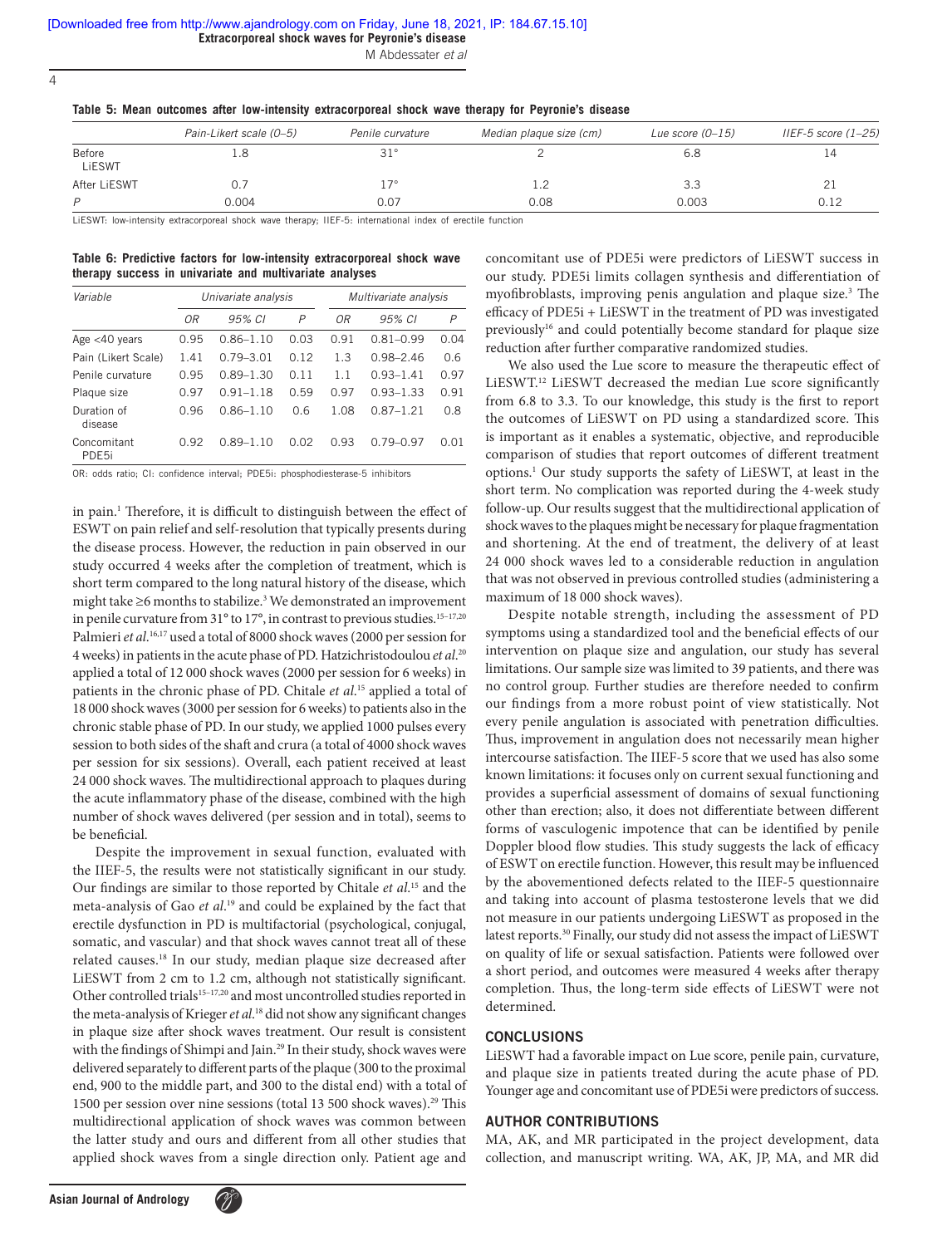**Extracorporeal shock waves for Peyronie's disease**

M Abdessater *et al*

|  |  |  |  |  | Table 5: Mean outcomes after low-intensity extracorporeal shock wave therapy for Peyronie's disease |  |  |  |  |  |  |
|--|--|--|--|--|-----------------------------------------------------------------------------------------------------|--|--|--|--|--|--|
|--|--|--|--|--|-----------------------------------------------------------------------------------------------------|--|--|--|--|--|--|

|                  | Pain-Likert scale (0-5) | Penile curvature | Median plaque size (cm) | Lue score $(0-15)$ | IIEF-5 score $(1-25)$ |
|------------------|-------------------------|------------------|-------------------------|--------------------|-----------------------|
| Before<br>LiESWT |                         | $31^\circ$       |                         | 6.8                | 14                    |
| After LiESWT     |                         | $17^\circ$       | ⊥.∠                     | 3.3                | 21                    |
| P                | 0.004                   | 0.07             | 0.08                    | 0.003              | 0.12                  |

LiESWT: low-intensity extracorporeal shock wave therapy; IIEF-5: international index of erectile function

**Table 6: Predictive factors for low‑intensity extracorporeal shock wave therapy success in univariate and multivariate analyses**

| Variable                         |      | Univariate analysis |      |      | Multivariate analysis |      |  |  |
|----------------------------------|------|---------------------|------|------|-----------------------|------|--|--|
|                                  | 0R   | 95% CI              | P    | 0R   | 95% CI                | P    |  |  |
| Age $<$ 40 years                 | 0.95 | $0.86 - 1.10$       | 0.03 | 0.91 | $0.81 - 0.99$         | 0.04 |  |  |
| Pain (Likert Scale)              | 1.41 | $0.79 - 3.01$       | 0.12 | 1.3  | $0.98 - 2.46$         | 0.6  |  |  |
| Penile curvature                 | 0.95 | $0.89 - 1.30$       | 0.11 | 1.1  | $0.93 - 1.41$         | 0.97 |  |  |
| Plaque size                      | 0.97 | $0.91 - 1.18$       | 0.59 | 0.97 | $0.93 - 1.33$         | 0.91 |  |  |
| Duration of<br>disease           | 0.96 | $0.86 - 1.10$       | 0.6  | 1.08 | $0.87 - 1.21$         | 0.8  |  |  |
| Concomitant<br>PDE <sub>5i</sub> | 0.92 | $0.89 - 1.10$       | 0.02 | 0.93 | $0.79 - 0.97$         | 0.01 |  |  |

OR: odds ratio; CI: confidence interval; PDE5i: phosphodiesterase-5 inhibitors

in pain.<sup>1</sup> Therefore, it is difficult to distinguish between the effect of ESWT on pain relief and self-resolution that typically presents during the disease process. However, the reduction in pain observed in our study occurred 4 weeks after the completion of treatment, which is short term compared to the long natural history of the disease, which might take  $\geq$ 6 months to stabilize.<sup>3</sup> We demonstrated an improvement in penile curvature from  $31^{\circ}$  to  $17^{\circ}$ , in contrast to previous studies.<sup>15-17,20</sup> Palmieri *et al*. 16,17 used a total of 8000 shock waves (2000 per session for 4 weeks) in patients in the acute phase of PD. Hatzichristodoulou *et al*. 20 applied a total of 12 000 shock waves (2000 per session for 6 weeks) in patients in the chronic phase of PD. Chitale *et al*. 15 applied a total of 18 000 shock waves (3000 per session for 6 weeks) to patients also in the chronic stable phase of PD. In our study, we applied 1000 pulses every session to both sides of the shaft and crura (a total of 4000 shock waves per session for six sessions). Overall, each patient received at least 24 000 shock waves. The multidirectional approach to plaques during the acute inflammatory phase of the disease, combined with the high number of shock waves delivered (per session and in total), seems to be beneficial.

Despite the improvement in sexual function, evaluated with the IIEF-5, the results were not statistically significant in our study. Our findings are similar to those reported by Chitale *et al*. 15 and the meta-analysis of Gao *et al*. 19 and could be explained by the fact that erectile dysfunction in PD is multifactorial (psychological, conjugal, somatic, and vascular) and that shock waves cannot treat all of these related causes.18 In our study, median plaque size decreased after LiESWT from 2 cm to 1.2 cm, although not statistically significant. Other controlled trials<sup>15-17,20</sup> and most uncontrolled studies reported in the meta-analysis of Krieger *et al*. 18 did not show any significant changes in plaque size after shock waves treatment. Our result is consistent with the findings of Shimpi and Jain.<sup>29</sup> In their study, shock waves were delivered separately to different parts of the plaque (300 to the proximal end, 900 to the middle part, and 300 to the distal end) with a total of 1500 per session over nine sessions (total 13 500 shock waves).<sup>29</sup> This multidirectional application of shock waves was common between the latter study and ours and different from all other studies that applied shock waves from a single direction only. Patient age and

concomitant use of PDE5i were predictors of LiESWT success in our study. PDE5i limits collagen synthesis and differentiation of myofibroblasts, improving penis angulation and plaque size.<sup>3</sup> The efficacy of PDE5i + LiESWT in the treatment of PD was investigated previously<sup>16</sup> and could potentially become standard for plaque size reduction after further comparative randomized studies.

We also used the Lue score to measure the therapeutic effect of LiESWT.12 LiESWT decreased the median Lue score significantly from 6.8 to 3.3. To our knowledge, this study is the first to report the outcomes of LiESWT on PD using a standardized score. This is important as it enables a systematic, objective, and reproducible comparison of studies that report outcomes of different treatment options.1 Our study supports the safety of LiESWT, at least in the short term. No complication was reported during the 4-week study follow-up. Our results suggest that the multidirectional application of shock waves to the plaques might be necessary for plaque fragmentation and shortening. At the end of treatment, the delivery of at least 24 000 shock waves led to a considerable reduction in angulation that was not observed in previous controlled studies (administering a maximum of 18 000 shock waves).

Despite notable strength, including the assessment of PD symptoms using a standardized tool and the beneficial effects of our intervention on plaque size and angulation, our study has several limitations. Our sample size was limited to 39 patients, and there was no control group. Further studies are therefore needed to confirm our findings from a more robust point of view statistically. Not every penile angulation is associated with penetration difficulties. Thus, improvement in angulation does not necessarily mean higher intercourse satisfaction. The IIEF-5 score that we used has also some known limitations: it focuses only on current sexual functioning and provides a superficial assessment of domains of sexual functioning other than erection; also, it does not differentiate between different forms of vasculogenic impotence that can be identified by penile Doppler blood flow studies. This study suggests the lack of efficacy of ESWT on erectile function. However, this result may be influenced by the abovementioned defects related to the IIEF-5 questionnaire and taking into account of plasma testosterone levels that we did not measure in our patients undergoing LiESWT as proposed in the latest reports.30 Finally, our study did not assess the impact of LiESWT on quality of life or sexual satisfaction. Patients were followed over a short period, and outcomes were measured 4 weeks after therapy completion. Thus, the long-term side effects of LiESWT were not determined.

#### **CONCLUSIONS**

LiESWT had a favorable impact on Lue score, penile pain, curvature, and plaque size in patients treated during the acute phase of PD. Younger age and concomitant use of PDE5i were predictors of success.

#### **AUTHOR CONTRIBUTIONS**

MA, AK, and MR participated in the project development, data collection, and manuscript writing. WA, AK, JP, MA, and MR did